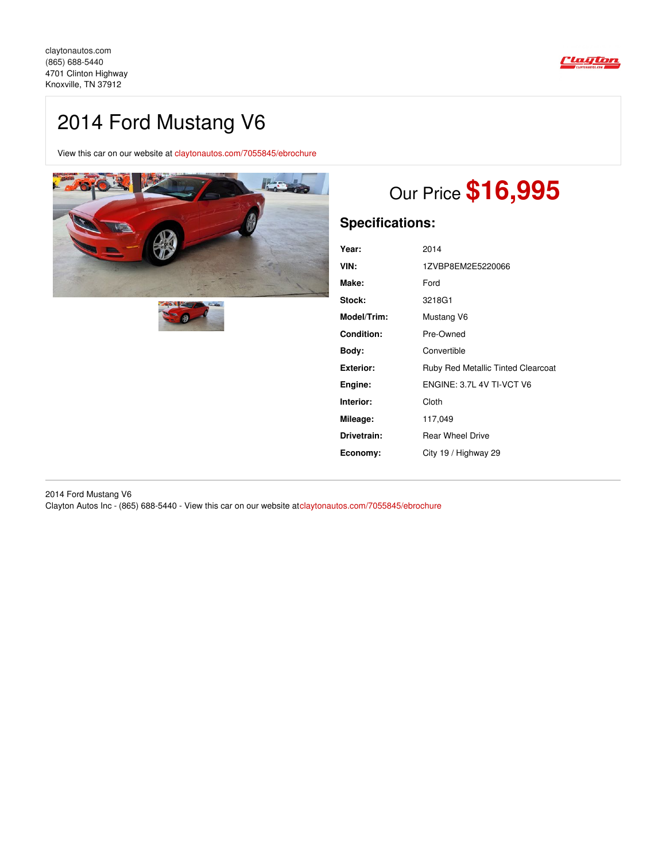

# 2014 Ford Mustang V6

View this car on our website at [claytonautos.com/7055845/ebrochure](https://claytonautos.com/vehicle/7055845/2014-ford-mustang-v6-knoxville-tn-37912/7055845/ebrochure)





# Our Price **\$16,995**

## **Specifications:**

| Year:            | 2014                                      |
|------------------|-------------------------------------------|
| VIN:             | 1ZVBP8EM2E5220066                         |
| Make:            | Ford                                      |
| Stock:           | 3218G1                                    |
| Model/Trim:      | Mustang V6                                |
| Condition:       | Pre-Owned                                 |
| Bodv:            | Convertible                               |
| <b>Exterior:</b> | <b>Ruby Red Metallic Tinted Clearcoat</b> |
| Engine:          | ENGINE: 3.7L 4V TI-VCT V6                 |
| Interior:        | Cloth                                     |
| Mileage:         | 117,049                                   |
| Drivetrain:      | <b>Rear Wheel Drive</b>                   |
| Economy:         | City 19 / Highway 29                      |

2014 Ford Mustang V6 Clayton Autos Inc - (865) 688-5440 - View this car on our website at[claytonautos.com/7055845/ebrochure](https://claytonautos.com/vehicle/7055845/2014-ford-mustang-v6-knoxville-tn-37912/7055845/ebrochure)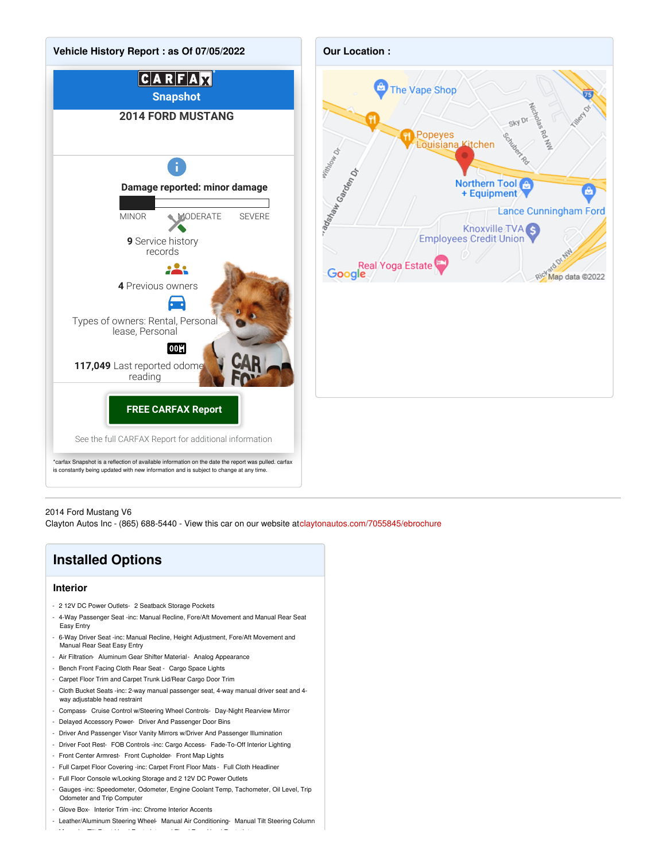

#### 2014 Ford Mustang V6

Clayton Autos Inc - (865) 688-5440 - View this car on our website at[claytonautos.com/7055845/ebrochure](https://claytonautos.com/vehicle/7055845/2014-ford-mustang-v6-knoxville-tn-37912/7055845/ebrochure)

## **Installed Options**

#### **Interior**

- 2 12V DC Power Outlets- 2 Seatback Storage Pockets
- 4-Way Passenger Seat -inc: Manual Recline, Fore/Aft Movement and Manual Rear Seat Easy Entry
- 6-Way Driver Seat -inc: Manual Recline, Height Adjustment, Fore/Aft Movement and Manual Rear Seat Easy Entry
- Air Filtration- Aluminum Gear Shifter Material- Analog Appearance
- Bench Front Facing Cloth Rear Seat Cargo Space Lights
- Carpet Floor Trim and Carpet Trunk Lid/Rear Cargo Door Trim
- Cloth Bucket Seats -inc: 2-way manual passenger seat, 4-way manual driver seat and 4 way adjustable head restraint
- Compass- Cruise Control w/Steering Wheel Controls- Day-Night Rearview Mirror
- Delayed Accessory Power- Driver And Passenger Door Bins
- Driver And Passenger Visor Vanity Mirrors w/Driver And Passenger Illumination
- Driver Foot Rest- FOB Controls -inc: Cargo Access- Fade-To-Off Interior Lighting
- Front Center Armrest- Front Cupholder- Front Map Lights
- Full Carpet Floor Covering -inc: Carpet Front Floor Mats Full Cloth Headliner
- Full Floor Console w/Locking Storage and 2 12V DC Power Outlets

- Manual w/Tilt Front Head Restraints and Fixed Rear Head Restraints

- Gauges -inc: Speedometer, Odometer, Engine Coolant Temp, Tachometer, Oil Level, Trip Odometer and Trip Computer
- Glove Box- Interior Trim -inc: Chrome Interior Accents
- Leather/Aluminum Steering Wheel- Manual Air Conditioning- Manual Tilt Steering Column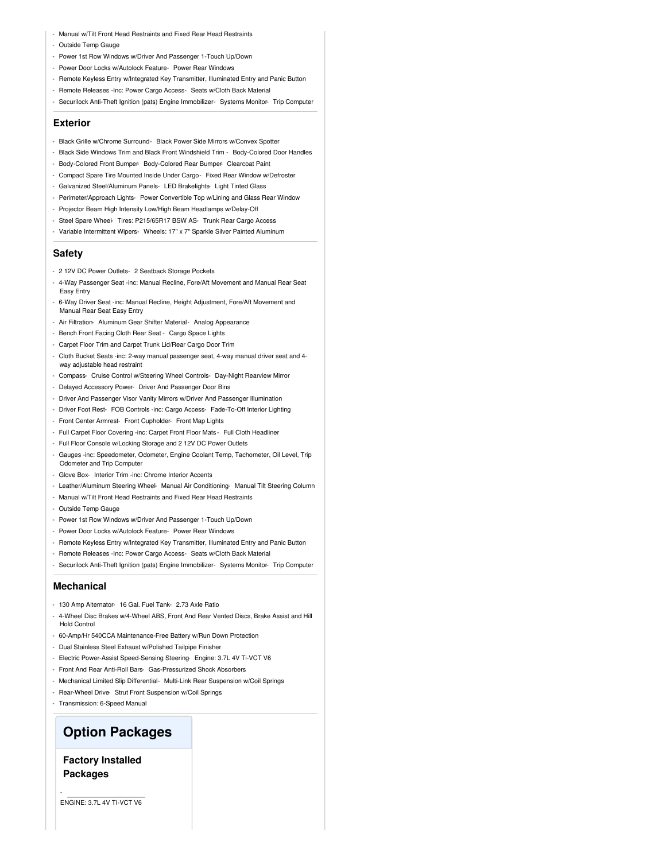- Manual w/Tilt Front Head Restraints and Fixed Rear Head Restraints
- Outside Temp Gauge
- Power 1st Row Windows w/Driver And Passenger 1-Touch Up/Down
- Power Door Locks w/Autolock Feature- Power Rear Windows
- Remote Keyless Entry w/Integrated Key Transmitter, Illuminated Entry and Panic Button
- Remote Releases -Inc: Power Cargo Access- Seats w/Cloth Back Material
- Securilock Anti-Theft Ignition (pats) Engine Immobilizer- Systems Monitor- Trip Computer

#### **Exterior**

- Black Grille w/Chrome Surround- Black Power Side Mirrors w/Convex Spotter
- Black Side Windows Trim and Black Front Windshield Trim Body-Colored Door Handles
- Body-Colored Front Bumper- Body-Colored Rear Bumper- Clearcoat Paint
- Compact Spare Tire Mounted Inside Under Cargo- Fixed Rear Window w/Defroster
- Galvanized Steel/Aluminum Panels- LED Brakelights- Light Tinted Glass
- Perimeter/Approach Lights- Power Convertible Top w/Lining and Glass Rear Window
- Projector Beam High Intensity Low/High Beam Headlamps w/Delay-Off
- Steel Spare Wheel- Tires: P215/65R17 BSW AS- Trunk Rear Cargo Access
- Variable Intermittent Wipers- Wheels: 17" x 7" Sparkle Silver Painted Aluminum

#### **Safety**

- 2 12V DC Power Outlets- 2 Seatback Storage Pockets
- 4-Way Passenger Seat -inc: Manual Recline, Fore/Aft Movement and Manual Rear Seat Easy Entry
- 6-Way Driver Seat -inc: Manual Recline, Height Adjustment, Fore/Aft Movement and Manual Rear Seat Easy Entry
- Air Filtration- Aluminum Gear Shifter Material- Analog Appearance
- Bench Front Facing Cloth Rear Seat Cargo Space Lights
- Carpet Floor Trim and Carpet Trunk Lid/Rear Cargo Door Trim
- Cloth Bucket Seats -inc: 2-way manual passenger seat, 4-way manual driver seat and 4 way adjustable head restraint
- Compass- Cruise Control w/Steering Wheel Controls- Day-Night Rearview Mirror
- Delayed Accessory Power- Driver And Passenger Door Bins
- Driver And Passenger Visor Vanity Mirrors w/Driver And Passenger Illumination
- Driver Foot Rest- FOB Controls -inc: Cargo Access- Fade-To-Off Interior Lighting
- Front Center Armrest- Front Cupholder- Front Map Lights
- Full Carpet Floor Covering -inc: Carpet Front Floor Mats Full Cloth Headliner
- Full Floor Console w/Locking Storage and 2 12V DC Power Outlets
- Gauges -inc: Speedometer, Odometer, Engine Coolant Temp, Tachometer, Oil Level, Trip Odometer and Trip Computer
- Glove Box- Interior Trim -inc: Chrome Interior Accents
- Leather/Aluminum Steering Wheel- Manual Air Conditioning- Manual Tilt Steering Column
- Manual w/Tilt Front Head Restraints and Fixed Rear Head Restraints
- Outside Temp Gauge
- Power 1st Row Windows w/Driver And Passenger 1-Touch Up/Down
- Power Door Locks w/Autolock Feature- Power Rear Windows
- Remote Keyless Entry w/Integrated Key Transmitter, Illuminated Entry and Panic Button
- Remote Releases -Inc: Power Cargo Access- Seats w/Cloth Back Material
- Securilock Anti-Theft Ignition (pats) Engine Immobilizer- Systems Monitor- Trip Computer

#### **Mechanical**

- 130 Amp Alternator- 16 Gal. Fuel Tank- 2.73 Axle Ratio
- 4-Wheel Disc Brakes w/4-Wheel ABS, Front And Rear Vented Discs, Brake Assist and Hill Hold Control
- 60-Amp/Hr 540CCA Maintenance-Free Battery w/Run Down Protection
- Dual Stainless Steel Exhaust w/Polished Tailpipe Finisher
- Electric Power-Assist Speed-Sensing Steering- Engine: 3.7L 4V Ti-VCT V6
- Front And Rear Anti-Roll Bars- Gas-Pressurized Shock Absorbers
- Mechanical Limited Slip Differential- Multi-Link Rear Suspension w/Coil Springs
- Rear-Wheel Drive- Strut Front Suspension w/Coil Springs
- Transmission: 6-Speed Manual

### **Option Packages**

### **Factory Installed Packages**

-